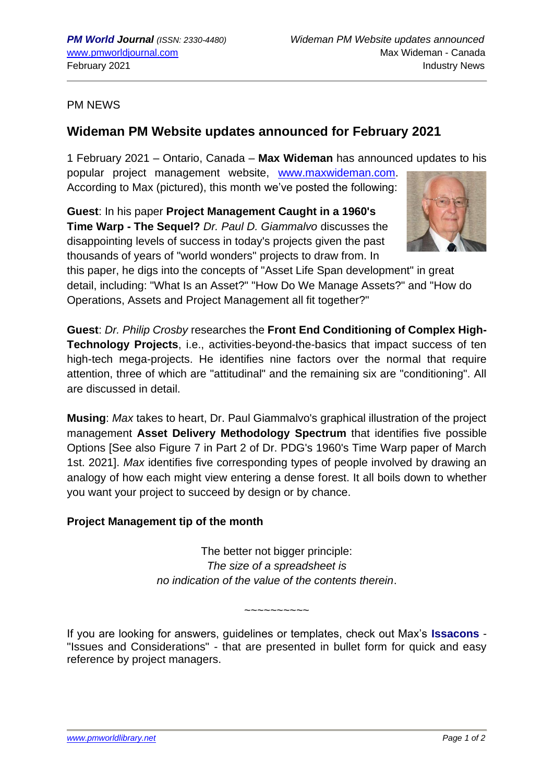## PM NEWS

## **Wideman PM Website updates announced for February 2021**

1 February 2021 – Ontario, Canada – **Max Wideman** has announced updates to his popular project management website, [www.maxwideman.com.](http://www.maxwideman.com/) According to Max (pictured), this month we've posted the following:

**Guest**: In his paper **Project Management Caught in a 1960's Time Warp - The Sequel?** *Dr. Paul D. Giammalvo* discusses the disappointing levels of success in today's projects given the past thousands of years of "world wonders" projects to draw from. In



this paper, he digs into the concepts of "Asset Life Span development" in great detail, including: "What Is an Asset?" "How Do We Manage Assets?" and "How do Operations, Assets and Project Management all fit together?"

**Guest**: *Dr. Philip Crosby* researches the **Front End Conditioning of Complex High-Technology Projects**, i.e., activities-beyond-the-basics that impact success of ten high-tech mega-projects. He identifies nine factors over the normal that require attention, three of which are "attitudinal" and the remaining six are "conditioning". All are discussed in detail.

**Musing**: *Max* takes to heart, Dr. Paul Giammalvo's graphical illustration of the project management **Asset Delivery Methodology Spectrum** that identifies five possible Options [See also Figure 7 in Part 2 of Dr. PDG's 1960's Time Warp paper of March 1st. 2021]. *Max* identifies five corresponding types of people involved by drawing an analogy of how each might view entering a dense forest. It all boils down to whether you want your project to succeed by design or by chance.

## **Project Management tip of the month**

The better not bigger principle: *The size of a spreadsheet is no indication of the value of the contents therein*.

If you are looking for answers, guidelines or templates, check out Max's **Issacons** - "Issues and Considerations" - that are presented in bullet form for quick and easy reference by project managers.

~~~~~~~~~~